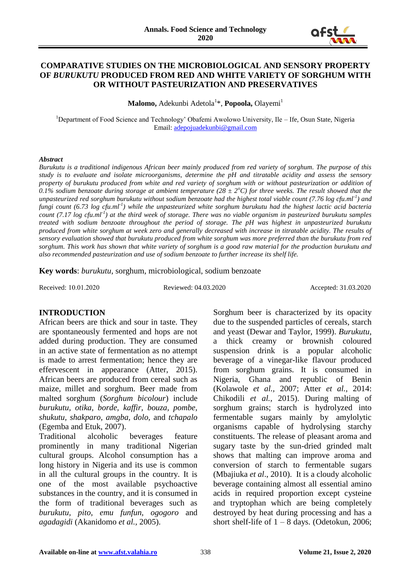

#### **COMPARATIVE STUDIES ON THE MICROBIOLOGICAL AND SENSORY PROPERTY OF** *BURUKUTU* **PRODUCED FROM RED AND WHITE VARIETY OF SORGHUM WITH OR WITHOUT PASTEURIZATION AND PRESERVATIVES**

**Malomo,** Adekunbi Adetola<sup>1\*</sup>, **Popoola,** Olayemi<sup>1</sup>

<sup>1</sup>Department of Food Science and Technology' Obafemi Awolowo University, Ile – Ife, Osun State, Nigeria Email: [adepojuadekunbi@gmail.com](mailto:adepojuadekunbi@gmail.com)

#### *Abstract*

*Burukutu is a traditional indigenous African beer mainly produced from red variety of sorghum. The purpose of this study is to evaluate and isolate microorganisms, determine the pH and titratable acidity and assess the sensory property of burukutu produced from white and red variety of sorghum with or without pasteurization or addition of* 0.1% sodium benzoate during storage at ambient temperature ( $28 \pm 2$ <sup>o</sup>*C*) for three weeks. The result showed that the *unpasteurized red sorghum burukutu without sodium benzoate had the highest total viable count (7.76 log cfu.ml-1 ) and fungi count (6.73 log cfu.ml-1 ) while the unpasteurized white sorghum burukutu had the highest lactic acid bacteria count (7.17 log cfu.ml-1 ) at the third week of storage. There was no viable organism in pasteurized burukutu samples treated with sodium benzoate throughout the period of storage. The pH was highest in unpasteurized burukutu produced from white sorghum at week zero and generally decreased with increase in titratable acidity. The results of sensory evaluation showed that burukutu produced from white sorghum was more preferred than the burukutu from red sorghum. This work has shown that white variety of sorghum is a good raw material for the production burukutu and also recommended pasteurization and use of sodium benzoate to further increase its shelf life.*

**Key words**: *burukutu*, sorghum, microbiological, sodium benzoate

Received: 10.01.2020 Reviewed: 04.03.2020 Accepted: 31.03.2020

#### **INTRODUCTION**

African beers are thick and sour in taste. They are spontaneously fermented and hops are not added during production. They are consumed in an active state of fermentation as no attempt is made to arrest fermentation; hence they are effervescent in appearance (Atter, 2015). African beers are produced from cereal such as maize, millet and sorghum. Beer made from malted sorghum (*Sorghum bicolour*) include *burukutu, otika, borde, kaffir, bouza, pombe, shukutu, shakparo, amgba, dolo,* and *tchapalo*  (Egemba and Etuk, 2007).

Traditional alcoholic beverages feature prominently in many traditional Nigerian cultural groups. Alcohol consumption has a long history in Nigeria and its use is common in all the cultural groups in the country. It is one of the most available psychoactive substances in the country, and it is consumed in the form of traditional beverages such as *burukutu, pito*, *emu funfun, ogogoro* and *agadagidi* (Akanidomo *et al.,* 2005).

Sorghum beer is characterized by its opacity due to the suspended particles of cereals, starch and yeast (Dewar and Taylor, 1999). *Burukutu*, a thick creamy or brownish coloured suspension drink is a popular alcoholic beverage of a vinegar-like flavour produced from sorghum grains. It is consumed in Nigeria, Ghana and republic of Benin (Kolawole *et al.,* 2007; Atter *et al.,* 2014: Chikodili *et al.,* 2015). During malting of sorghum grains; starch is hydrolyzed into fermentable sugars mainly by amylolytic organisms capable of hydrolysing starchy constituents. The release of pleasant aroma and sugary taste by the sun-dried grinded malt shows that malting can improve aroma and conversion of starch to fermentable sugars (Mbajiuka *et al*., 2010). It is a cloudy alcoholic beverage containing almost all essential amino acids in required proportion except cysteine and tryptophan which are being completely destroyed by heat during processing and has a short shelf-life of  $1 - 8$  days. (Odetokun, 2006;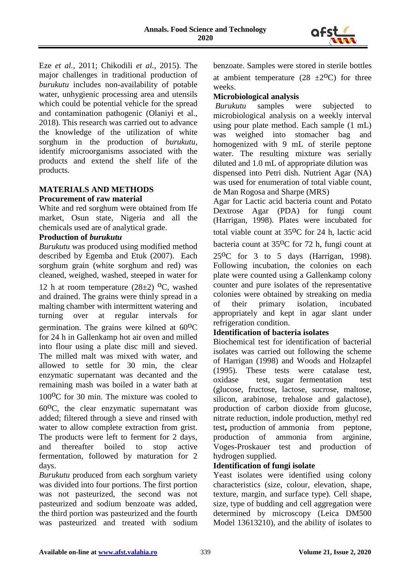

Eze *et al.,* 2011; Chikodili *et al.,* 2015). The major challenges in traditional production of *burukutu* includes non-availability of potable water, unhygienic processing area and utensils which could be potential vehicle for the spread and contamination pathogenic (Olaniyi et al., 2018). This research was carried out to advance the knowledge of the utilization of white sorghum in the production of *burukutu,*  identify microorganisms associated with the products and extend the shelf life of the products.

# **MATERIALS AND METHODS**

#### **Procurement of raw material**

White and red sorghum were obtained from Ife market, Osun state, Nigeria and all the chemicals used are of analytical grade.

#### **Production of** *burukutu*

*Burukutu* was produced using modified method described by Egemba and Etuk (2007). Each sorghum grain (white sorghum and red) was cleaned, weighed, washed, steeped in water for

12 h at room temperature  $(28\pm2)$  <sup>o</sup>C, washed and drained. The grains were thinly spread in a malting chamber with intermittent watering and turning over at regular intervals for germination. The grains were kilned at  $60^{\circ}$ C for 24 h in Gallenkamp hot air oven and milled into flour using a plate disc mill and sieved. The milled malt was mixed with water, and allowed to settle for 30 min, the clear enzymatic supernatant was decanted and the remaining mash was boiled in a water bath at

 $100^{\circ}$ C for 30 min. The mixture was cooled to

 $60^{\circ}$ C, the clear enzymatic supernatant was added; filtered through a sieve and rinsed with water to allow complete extraction from grist. The products were left to ferment for 2 days, and thereafter boiled to stop active fermentation, followed by maturation for 2 days.

*Burukutu* produced from each sorghum variety was divided into four portions. The first portion was not pasteurized, the second was not pasteurized and sodium benzoate was added, the third portion was pasteurized and the fourth was pasteurized and treated with sodium benzoate. Samples were stored in sterile bottles at ambient temperature  $(28 \pm 2^{0}C)$  for three weeks.

### **Microbiological analysis**

*Burukutu* samples were subjected to microbiological analysis on a weekly interval using pour plate method. Each sample (1 mL) was weighed into stomacher bag and homogenized with 9 mL of sterile peptone water. The resulting mixture was serially diluted and 1.0 mL of appropriate dilution was dispensed into Petri dish. Nutrient Agar (NA) was used for enumeration of total viable count, de Man Rogosa and Sharpe (MRS)

Agar for Lactic acid bacteria count and Potato Dextrose Agar (PDA) for fungi count (Harrigan, 1998). Plates were incubated for total viable count at  $35^{\circ}$ C for 24 h, lactic acid bacteria count at 35<sup>o</sup>C for 72 h, fungi count at

 $25^{\circ}$ C for 3 to 5 days (Harrigan, 1998). Following incubation, the colonies on each plate were counted using a Gallenkamp colony counter and pure isolates of the representative colonies were obtained by streaking on media of their primary isolation, incubated appropriately and kept in agar slant under refrigeration condition.

# **Identification of bacteria isolates**

Biochemical test for identification of bacterial isolates was carried out following the scheme of Harrigan (1998) and Woods and Holzapfel (1995). These tests were catalase test, oxidase test, sugar fermentation test (glucose, fructose, lactose, sucrose, maltose, silicon, arabinose, trehalose and galactose), production of carbon dioxide from glucose, nitrate reduction, indole production, methyl red test**,** production of ammonia from peptone, production of ammonia from arginine, Voges-Proskauer test and production of hydrogen supplied.

# **Identification of fungi isolate**

Yeast isolates were identified using colony characteristics (size, colour, elevation, shape, texture, margin, and surface type). Cell shape, size, type of budding and cell aggregation were determined by microscopy (Leica DM500 Model 13613210), and the ability of isolates to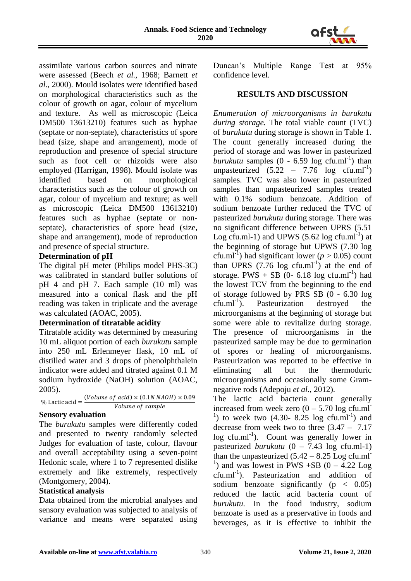

assimilate various carbon sources and nitrate were assessed (Beech *et al.,* 1968; Barnett *et al.,* 2000). Mould isolates were identified based on morphological characteristics such as the colour of growth on agar, colour of mycelium and texture. As well as microscopic (Leica DM500 13613210) features such as hyphae (septate or non-septate), characteristics of spore head (size, shape and arrangement), mode of reproduction and presence of special structure such as foot cell or rhizoids were also employed (Harrigan, 1998). Mould isolate was identified based on morphological characteristics such as the colour of growth on agar, colour of mycelium and texture; as well as microscopic (Leica DM500 13613210) features such as hyphae (septate or nonseptate), characteristics of spore head (size, shape and arrangement), mode of reproduction and presence of special structure.

# **Determination of pH**

The digital pH meter (Philips model PHS-3C) was calibrated in standard buffer solutions of pH 4 and pH 7. Each sample (10 ml) was measured into a conical flask and the pH reading was taken in triplicate and the average was calculated (AOAC, 2005).

# **Determination of titratable acidity**

Titratable acidity was determined by measuring 10 mL aliquot portion of each *burukutu* sample into 250 mL Erlenmeyer flask, 10 mL of distilled water and 3 drops of phenolphthalein indicator were added and titrated against 0.1 M sodium hydroxide (NaOH) solution (AOAC, 2005).

% Lactic acid = 
$$
\frac{(Volume\ of\ acid) \times (0.1N\ NAOH) \times 0.09}{Volume\ of\ sample}
$$

# **Sensory evaluation**

The *burukutu* samples were differently coded and presented to twenty randomly selected Judges for evaluation of taste, colour, flavour and overall acceptability using a seven-point Hedonic scale, where 1 to 7 represented dislike extremely and like extremely, respectively (Montgomery, 2004).

# **Statistical analysis**

Data obtained from the microbial analyses and sensory evaluation was subjected to analysis of variance and means were separated using Duncan's Multiple Range Test at 95% confidence level.

#### **RESULTS AND DISCUSSION**

*Enumeration of microorganisms in burukutu during storage.* The total viable count (TVC) of *burukutu* during storage is shown in Table 1. The count generally increased during the period of storage and was lower in pasteurized  $burukutu$  samples  $(0 - 6.59 \log ctu.m<sup>-1</sup>)$  than unpasteurized  $(5.22 - 7.76 \log \text{cfu.ml}^{-1})$ samples. TVC was also lower in pasteurized samples than unpasteurized samples treated with 0.1% sodium benzoate. Addition of sodium benzoate further reduced the TVC of pasteurized *burukutu* during storage. There was no significant difference between UPRS (5.51 Log cfu.ml-1) and UPWS  $(5.62 \log \text{c} \text{fu} \cdot \text{m} \text{h}^{-1})$  at the beginning of storage but UPWS (7.30 log cfu.ml<sup>-1</sup>) had significant lower ( $p > 0.05$ ) count than UPRS  $(7.76 \text{ log } \text{c} \text{fu} \cdot \text{m} \text{m}^{-1})$  at the end of storage. PWS + SB (0- 6.18 log cfu.ml<sup>-1</sup>) had the lowest TCV from the beginning to the end of storage followed by PRS SB (0 - 6.30 log  $cfu.ml^{-1}$ ). ). Pasteurization destroyed the microorganisms at the beginning of storage but some were able to revitalize during storage. The presence of microorganisms in the pasteurized sample may be due to germination of spores or healing of microorganisms. Pasteurization was reported to be effective in eliminating all but the thermoduric microorganisms and occasionally some Gramnegative rods (Adepoju *et al.,* 2012).

The lactic acid bacteria count generally increased from week zero  $(0 - 5.70 \log \text{cfu.m}]$ <sup>1</sup>) to week two  $(4.30 - 8.25 \log \, \text{cft} \cdot \text{m} \text{m}^{-1})$  and decrease from week two to three  $(3.47 - 7.17)$  $log c$ fu.ml<sup>-1</sup>). Count was generally lower in pasteurized *burukutu* (0 – 7.43 log cfu.ml-1) than the unpasteurized  $(5.42 - 8.25 \text{ Log } \text{ctu.ml})$ <sup>1</sup>) and was lowest in PWS +SB  $(0 - 4.22$  Log cfu.ml<sup>-1</sup>). Pasteurization and addition of sodium benzoate significantly ( $p < 0.05$ ) reduced the lactic acid bacteria count of *burukutu*. In the food industry, sodium benzoate is used as a preservative in foods and beverages, as it is effective to inhibit the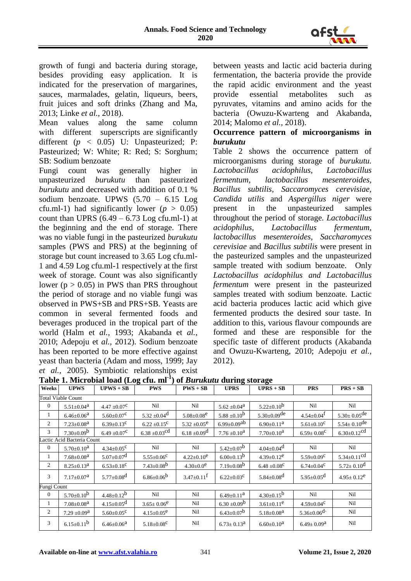

growth of fungi and bacteria during storage, besides providing easy application. It is indicated for the preservation of margarines, sauces, marmalades, gelatin, liqueurs, beers, fruit juices and soft drinks (Zhang and Ma, 2013; Linke *et al.*, 2018).

Mean values along the same column with different superscripts are significantly different ( $p \leq 0.05$ ) U: Unpasteurized; P: Pasteurized; W: White; R: Red; S: Sorghum; SB: Sodium benzoate

Fungi count was generally higher in unpasteurized *burukutu* than pasteurized *burukutu* and decreased with addition of 0.1 % sodium benzoate. UPWS (5.70 – 6.15 Log cfu.ml-1) had significantly lower ( $p > 0.05$ ) count than UPRS  $(6.49 - 6.73$  Log cfu.ml-1) at the beginning and the end of storage. There was no viable fungi in the pasteurized *burukutu* samples (PWS and PRS) at the beginning of storage but count increased to 3.65 Log cfu.ml-1 and 4.59 Log cfu.ml-1 respectively at the first week of storage. Count was also significantly lower ( $p > 0.05$ ) in PWS than PRS throughout the period of storage and no viable fungi was observed in PWS+SB and PRS+SB. Yeasts are common in several fermented foods and beverages produced in the tropical part of the world (Halm et *al.,* 1993; Akabanda et *al.*, 2010; Adepoju et *al.,* 2012). Sodium benzoate has been reported to be more effective against yeast than bacteria (Adam and moss, 1999; Jay *et al.,* 2005). Symbiotic relationships exist between yeasts and lactic acid bacteria during fermentation, the bacteria provide the provide the rapid acidic environment and the yeast provide essential metabolites such as pyruvates, vitamins and amino acids for the bacteria (Owuzu-Kwarteng and Akabanda, 2014; Malomo *et al.,* 2018).

### **Occurrence pattern of microorganisms in**  *burukutu*

Table 2 shows the occurrence pattern of microorganisms during storage of *burukutu. Lactobacillus acidophilus, Lactobacillus fermentum, lactobacillus mesenteroides, Bacillus subtilis, Saccaromyces cerevisiae, Candida utilis* and *Aspergillus niger* were present in the unpasteurized samples throughout the period of storage*. Lactobacillus acidophilus, Lactobacillus fermentum, lactobacillus mesenteroides, Saccharomyces cerevisiae* and *Bacillus subtilis* were present in the pasteurized samples and the unpasteurized sample treated with sodium benzoate. Only *Lactobacillus acidophilus and Lactobacillus fermentum* were present in the pasteurized samples treated with sodium benzoate. Lactic acid bacteria produces lactic acid which give fermented products the desired sour taste. In addition to this, various flavour compounds are formed and these are responsible for the specific taste of different products (Akabanda and Owuzu-Kwarteng, 2010; Adepoju *et al.,*  2012).

| Weeks                      | <b>UPWS</b>                  | $UPWS + SB$                  | <b>PWS</b>                    | $PWS + SB$                   | <b>UPRS</b>                   | $UPRS + SB$                  | <b>PRS</b>                   | $PRS + SB$                    |
|----------------------------|------------------------------|------------------------------|-------------------------------|------------------------------|-------------------------------|------------------------------|------------------------------|-------------------------------|
| <b>Total Viable Count</b>  |                              |                              |                               |                              |                               |                              |                              |                               |
| $\boldsymbol{0}$           | $5.51 \pm 0.04^{\rm a}$      | $4.47 \pm 0.07^{\circ}$      | Nil                           | Nil                          | $5.62 \pm 0.04^{\text{a}}$    | $5.22 \pm 0.10^b$            | Nil                          | Nil                           |
| 1                          | $6.46 \pm 0.06^{\text{a}}$   | $5.60 \pm 0.07$ <sup>C</sup> | $5.32 \pm 0.04$ <sup>d</sup>  | $5.08 \pm 0.08$ <sup>e</sup> | $5.88 \pm 0.10^b$             | $5.30 \pm 0.09$ de           | $4.54 \pm 0.04$ <sup>t</sup> | $5.30 \pm 0.05$ <sup>de</sup> |
| $\overline{c}$             | $7.23 \pm 0.08$ <sup>a</sup> | $6.39 \pm 0.13$ <sup>c</sup> | $6.22 \pm 0.15^c$             | $5.32 \pm 0.05^e$            | $6.99 \pm 0.09$ <sup>ab</sup> | $6.90 \pm 0.11$ <sup>a</sup> | $5.61 \pm 0.10^C$            | $5.54 \pm 0.10^{de}$          |
| 3                          | $7.30 \pm 0.09^b$            | $6.49 \pm 0.07^{\circ}$      | $6.38 \pm 0.03$ <sup>cd</sup> | $6.18 \pm 0.09$ <sup>d</sup> | $7.76 \pm 0.10^a$             | $7.70 \pm 0.10^a$            | $6.59 \pm 0.08^{\circ}$      | $6.30 \pm 0.12$ <sup>cd</sup> |
| Lactic Acid Bacteria Count |                              |                              |                               |                              |                               |                              |                              |                               |
| $\mathbf{0}$               | $5.70 \pm 0.10^a$            | $4.34 \pm 0.05^{\circ}$      | Nil                           | Nil                          | $5.42 \pm 0.07^b$             | $4.04 \pm 0.04$ <sup>d</sup> | Nil                          | Nil                           |
| 1                          | $7.68 \pm 0.08$ <sup>a</sup> | $5.07 \pm 0.07$ <sup>d</sup> | $5.55 \pm 0.06^{\circ}$       | $4.22 \pm 0.10^e$            | $6.00 \pm 0.13^b$             | $4.39 \pm 0.12^e$            | $5.59 \pm 0.09$ <sup>C</sup> | $5.34 \pm 0.11$ <sup>cd</sup> |
| $\overline{c}$             | $8.25 \pm 0.13^a$            | $6.53 \pm 0.18$ <sup>C</sup> | $7.43 \pm 0.08^b$             | $4.30 \pm 0.0^e$             | $7.19 \pm 0.08^b$             | $6.48 \pm 0.08^C$            | $6.74 \pm 0.04^{\circ}$      | $5.72 \pm 0.10^{\rm d}$       |
| 3                          | $7.17 \pm 0.07^{\rm a}$      | $5.77 \pm 0.08$ <sup>d</sup> | $6.86 \pm 0.06^b$             | $3.47 \pm 0.11$ <sup>f</sup> | $6.22 \pm 0.03^{\circ}$       | $5.84 \pm 0.08$ <sup>d</sup> | $5.95 \pm 0.05$ <sup>d</sup> | $4.95 \pm 0.12^e$             |
| Fungi Count                |                              |                              |                               |                              |                               |                              |                              |                               |
| $\mathbf{0}$               | $5.70 \pm 0.10^b$            | $4.48 \pm 0.12^b$            | Nil                           | Nil                          | $6.49 \pm 0.11^{\mathrm{a}}$  | $4.30 \pm 0.15^b$            | Nil                          | Nil                           |
| 1                          | $7.08 \pm 0.08$ <sup>a</sup> | $4.15 \pm 0.05$ <sup>d</sup> | $3.65 \pm 0.06^e$             | Nil                          | $6.30 \pm 0.09^b$             | $3.61 \pm 0.11^e$            | $4.59 \pm 0.04^{\circ}$      | Nil                           |
| $\overline{c}$             | $7.29 \pm 0.09^a$            | $5.60 \pm 0.05^{\circ}$      | $4.15 \pm 0.05^e$             | Nil                          | $6.43 \pm 0.07^b$             | $5.18 \pm 0.08$ <sup>a</sup> | $5.36 \pm 0.06$ <sup>d</sup> | Nil                           |
| 3                          | $6.15 \pm 0.11$ <sup>b</sup> | $6.46 \pm 0.06^{\text{a}}$   | $5.18 \pm 0.08$ <sup>C</sup>  | Nil                          | $6.73 \pm 0.13^{\text{a}}$    | $6.60 \pm 0.10^a$            | $6.49 \pm 0.09^{\text{a}}$   | Nil                           |

**Table 1. Microbial load (Log cfu. ml-1 ) of** *Burukutu* **during storage**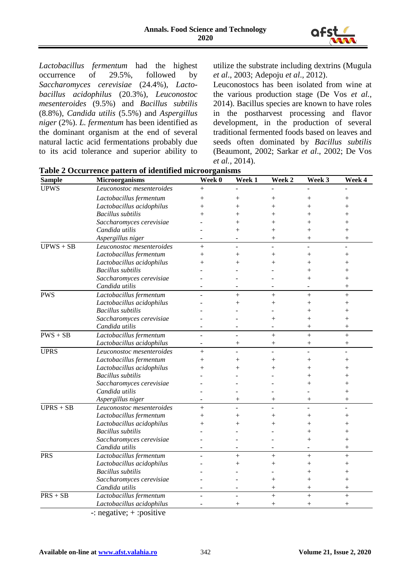

*Lactobacillus fermentum* had the highest occurrence of 29.5%, followed by occurrence of 29.5%, followed by *Saccharomyces cerevisiae* (24.4%), *Lactobacillus acidophilus* (20.3%), *Leuconostoc mesenteroides* (9.5%) and *Bacillus subtilis*  (8.8%), *Candida utilis* (5.5%) and *Aspergillus niger* (2%). *L. fermentum* has been identified as the dominant organism at the end of several natural lactic acid fermentations probably due to its acid tolerance and superior ability to utilize the substrate including dextrins (Mugula *et al*., 2003; Adepoju *et al*., 2012).

Leuconostocs has been isolated from wine at the various production stage (De Vos *et al.,*  2014). Bacillus species are known to have roles in the postharvest processing and flavor development, in the production of several traditional fermented foods based on leaves and seeds often dominated by *Bacillus subtilis* (Beaumont, 2002; Sarkar *et al*., 2002; De Vos *et al.,* 2014).

| <b>Sample</b> | <b>Microorganisms</b>     | Week 0                   | Week 1             | Week 2             | Week 3             | Week 4             |
|---------------|---------------------------|--------------------------|--------------------|--------------------|--------------------|--------------------|
| <b>UPWS</b>   | Leuconostoc mesenteroides | $^{+}$                   |                    |                    |                    |                    |
|               | Lactobacillus fermentum   | $\hspace{0.1mm} +$       | $^+$               | $\hspace{0.1mm} +$ | $^{+}$             | $^{+}$             |
|               | Lactobacillus acidophilus | $^+$                     | $^{+}$             | $^{+}$             | $^{+}$             | $^{+}$             |
|               | <b>Bacillus</b> subtilis  | $^+$                     | $\, +$             | $\, +$             | $\, +$             | $^{+}$             |
|               | Saccharomyces cerevisiae  |                          | $\overline{+}$     | $^{+}$             | $^{+}$             | $^{+}$             |
|               | Candida utilis            |                          | $\hspace{0.1mm} +$ | $\hspace{0.1mm} +$ | $\hspace{0.1mm} +$ | $\hspace{0.1mm} +$ |
|               | Aspergillus niger         |                          |                    | $^{+}$             | $^{+}$             | $^{+}$             |
| $UPWS + SB$   | Leuconostoc mesenteroides | $^{+}$                   | ÷                  |                    |                    |                    |
|               | Lactobacillus fermentum   | $^{+}$                   | $^{+}$             | $^{+}$             | $^{+}$             | $^{+}$             |
|               | Lactobacillus acidophilus | $^+$                     | $^{+}$             | $^{+}$             | $^{+}$             | $\overline{+}$     |
|               | <b>Bacillus</b> subtilis  |                          |                    |                    | $^{+}$             | $^{+}$             |
|               | Saccharomyces cerevisiae  |                          |                    |                    | $\hspace{0.1mm} +$ | $^{+}$             |
|               | Candida utilis            |                          |                    |                    |                    | $+$                |
| <b>PWS</b>    | Lactobacillus fermentum   |                          | $^{+}$             | $^{+}$             | $^{+}$             | $\ddot{}$          |
|               | Lactobacillus acidophilus |                          | $^{+}$             | $^{+}$             | $^{+}$             | $^{+}$             |
|               | <b>Bacillus</b> subtilis  |                          |                    |                    | $\hspace{0.1mm} +$ | $^{+}$             |
|               | Saccharomyces cerevisiae  |                          |                    | $^{+}$             | $^{+}$             | $+$                |
|               | Candida utilis            |                          |                    |                    | $^{+}$             | $^{+}$             |
| $PWS + SB$    | Lactobacillus fermentum   |                          |                    | $\ddot{}$          | $^{+}$             | $\ddot{}$          |
|               | Lactobacillus acidophilus | $\overline{\phantom{a}}$ | $^{+}$             | $^{+}$             | $^{+}$             | $^{+}$             |
| <b>UPRS</b>   | Leuconostoc mesenteroides | $+$                      |                    | ÷.                 | ÷.                 | ÷.                 |
|               | Lactobacillus fermentum   | $^+$                     | $^{+}$             | $^{+}$             | $^{+}$             | $^{+}$             |
|               | Lactobacillus acidophilus |                          | $^{+}$             | $^{+}$             | $\ddot{}$          | $^{+}$             |
|               | <b>Bacillus</b> subtilis  |                          |                    |                    | $^{+}$             | $^{+}$             |
|               | Saccharomyces cerevisiae  |                          |                    |                    | $^{+}$             | $^{+}$             |
|               | Candida utilis            |                          |                    |                    |                    | $^{+}$             |
|               | Aspergillus niger         |                          | $^{+}$             | $^{+}$             | $^{+}$             | $^{+}$             |
| $UPRS + SB$   | Leuconostoc mesenteroides | $^{+}$                   |                    |                    |                    |                    |
|               | Lactobacillus fermentum   | $^{+}$                   | $^{+}$             | $^{+}$             | $^{+}$             | $^{+}$             |
|               | Lactobacillus acidophilus | $^{+}$                   | $\, +$             | $^+$               | $^+$               | $^{+}$             |
|               | <b>Bacillus</b> subtilis  |                          |                    |                    | $^{+}$             | $^{+}$             |
|               | Saccharomyces cerevisiae  |                          |                    |                    | $^{+}$             | $^{+}$             |
|               | Candida utilis            |                          |                    |                    |                    | $^{+}$             |
| <b>PRS</b>    | Lactobacillus fermentum   |                          | $^{+}$             | $^{+}$             | $^{+}$             | $+$                |
|               | Lactobacillus acidophilus |                          | $^{+}$             | $^{+}$             | $^{+}$             | $^{+}$             |
|               | <b>Bacillus</b> subtilis  |                          |                    |                    | $^{+}$             | $\overline{+}$     |
|               | Saccharomyces cerevisiae  |                          |                    | $^{+}$             | $^{+}$             | $^{+}$             |
|               | Candida utilis            |                          |                    | $^{+}$             | $^{+}$             | $^{+}$             |
| $PRS + SB$    | Lactobacillus fermentum   |                          | L,                 | $^{+}$             | $^{+}$             | $+$                |
|               | Lactobacillus acidophilus |                          | $^{+}$             | $^{+}$             | $^{+}$             | $^{+}$             |
|               | $\cdot$<br>$\ddotsc$      |                          |                    |                    |                    |                    |

**Table 2 Occurrence pattern of identified microorganisms**

-: negative; + :positive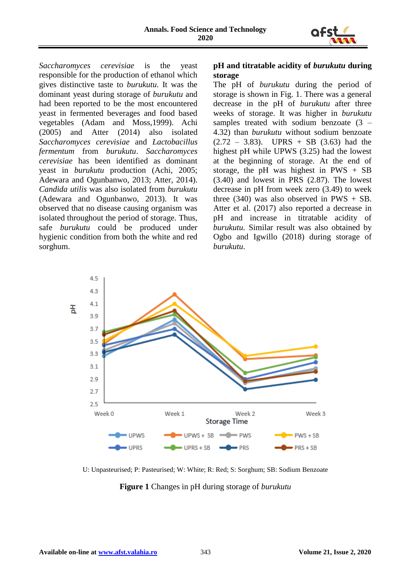

*Saccharomyces cerevisiae* is the yeast responsible for the production of ethanol which gives distinctive taste to *burukutu*. It was the dominant yeast during storage of *burukutu* and had been reported to be the most encountered yeast in fermented beverages and food based vegetables (Adam and Moss,1999). Achi (2005) and Atter (2014) also isolated *Saccharomyces cerevisiae* and *Lactobacillus fermentum* from *burukutu*. *Saccharomyces cerevisiae* has been identified as dominant yeast in *burukutu* production (Achi, 2005; Adewara and Ogunbanwo, 2013; Atter, 2014). *Candida utilis* was also isolated from *burukutu*  (Adewara and Ogunbanwo, 2013). It was observed that no disease causing organism was isolated throughout the period of storage. Thus, safe *burukutu* could be produced under hygienic condition from both the white and red sorghum.

### **pH and titratable acidity of** *burukutu* **during storage**

The pH of *burukutu* during the period of storage is shown in Fig. 1. There was a general decrease in the pH of *burukutu* after three weeks of storage. It was higher in *burukutu*  samples treated with sodium benzoate  $(3 -$ 4.32) than *burukutu* without sodium benzoate  $(2.72 - 3.83)$ . UPRS + SB  $(3.63)$  had the highest pH while UPWS (3.25) had the lowest at the beginning of storage. At the end of storage, the pH was highest in  $PWS + SB$ (3.40) and lowest in PRS (2.87). The lowest decrease in pH from week zero (3.49) to week three  $(340)$  was also observed in PWS + SB. Atter et al. (2017) also reported a decrease in pH and increase in titratable acidity of *burukutu*. Similar result was also obtained by Ogbo and Igwillo (2018) during storage of *burukutu*.



U: Unpasteurised; P: Pasteurised; W: White; R: Red; S: Sorghum; SB: Sodium Benzoate

**Figure 1** Changes in pH during storage of *burukutu*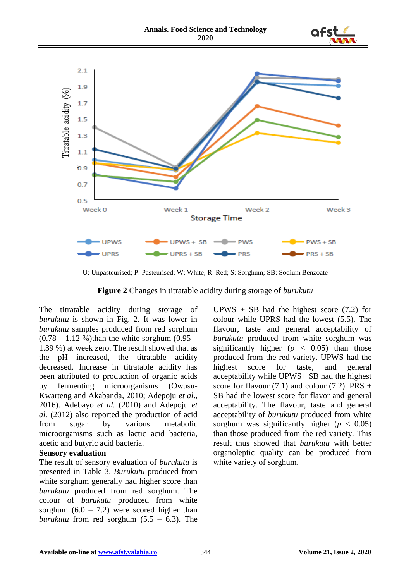



U: Unpasteurised; P: Pasteurised; W: White; R: Red; S: Sorghum; SB: Sodium Benzoate

**Figure 2** Changes in titratable acidity during storage of *burukutu*

The titratable acidity during storage of *burukutu* is shown in Fig. 2. It was lower in *burukutu* samples produced from red sorghum  $(0.78 - 1.12 \%)$  than the white sorghum  $(0.95 - 1.12 \%)$ 1.39 %) at week zero. The result showed that as the pH increased, the titratable acidity decreased. Increase in titratable acidity has been attributed to production of organic acids by fermenting microorganisms (Owusu-Kwarteng and Akabanda, 2010; Adepoju *et al*., 2016). Adebayo *et al.* (2010) and Adepoju *et al.* (2012) also reported the production of acid from sugar by various metabolic microorganisms such as lactic acid bacteria, acetic and butyric acid bacteria.

#### **Sensory evaluation**

The result of sensory evaluation of *burukutu* is presented in Table 3. *Burukutu* produced from white sorghum generally had higher score than *burukutu* produced from red sorghum. The colour of *burukutu* produced from white sorghum  $(6.0 - 7.2)$  were scored higher than *burukutu* from red sorghum  $(5.5 - 6.3)$ . The

UPWS  $+$  SB had the highest score (7.2) for colour while UPRS had the lowest (5.5). The flavour, taste and general acceptability of *burukutu* produced from white sorghum was significantly higher  $(p < 0.05)$  than those produced from the red variety. UPWS had the highest score for taste, and general acceptability while UPWS+ SB had the highest score for flavour  $(7.1)$  and colour  $(7.2)$ . PRS + SB had the lowest score for flavor and general acceptability. The flavour, taste and general acceptability of *burukutu* produced from white sorghum was significantly higher  $(p < 0.05)$ than those produced from the red variety. This result thus showed that *burukutu* with better organoleptic quality can be produced from white variety of sorghum.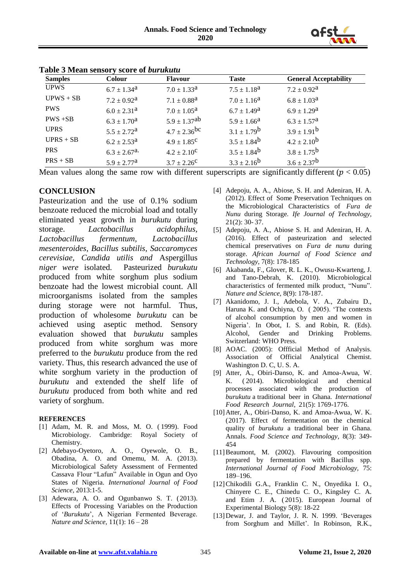

| <b>Samples</b> | <b>Colour</b>                | <b>Flavour</b>               | <b>Taste</b>           | <b>General Acceptability</b> |
|----------------|------------------------------|------------------------------|------------------------|------------------------------|
| <b>UPWS</b>    | $6.7 \pm 1.34^{\rm a}$       | $7.0 \pm 1.33^{\text{a}}$    | $7.5 \pm 1.18^{\rm a}$ | $7.2 \pm 0.92^{\rm a}$       |
| $UPWS + SB$    | $7.2 \pm 0.92^{\mathrm{a}}$  | $7.1 \pm 0.88^{\rm a}$       | $7.0 \pm 1.16^{\rm a}$ | $6.8 \pm 1.03^{\text{a}}$    |
| <b>PWS</b>     | $6.0 \pm 2.31^{\text{a}}$    | $7.0 \pm 1.05^{\text{a}}$    | $6.7 \pm 1.49^{\rm a}$ | $6.9 \pm 1.29^{\rm a}$       |
| $PWS + SB$     | $6.3 \pm 1.70^{\rm a}$       | $5.9 \pm 1.37$ <sup>ab</sup> | $5.9 \pm 1.66^{\rm a}$ | $6.3 \pm 1.57^{\rm a}$       |
| <b>UPRS</b>    | $5.5 \pm 2.72^{\rm a}$       | $4.7 \pm 2.36$ <sup>bc</sup> | $3.1 \pm 1.79^{\rm b}$ | $3.9 \pm 1.91^b$             |
| $UPRS + SB$    | $6.2 \pm 2.53^{\circ}$       | $4.9 \pm 1.85^{\circ}$       | $3.5 \pm 1.84^b$       | $4.2 \pm 2.10^{\rm b}$       |
| <b>PRS</b>     | $6.3 \pm 2.67$ <sup>a.</sup> | $4.2 \pm 2.10^{\circ}$       | $3.5 \pm 1.84^b$       | $3.8 \pm 1.75^{\rm b}$       |
| $PRS + SB$     | $5.9 \pm 2.77^{\rm a}$       | $3.7 \pm 2.26^{\circ}$       | $3.3 \pm 2.16^{\rm b}$ | $3.6 \pm 2.37^b$             |

#### **Table 3 Mean sensory score of** *burukutu*

Mean values along the same row with different superscripts are significantly different ( $p < 0.05$ )

#### **CONCLUSION**

Pasteurization and the use of 0.1% sodium benzoate reduced the microbial load and totally eliminated yeast growth in *burukutu* during storage. *Lactobacillus acidophilus, Lactobacillus fermentum, Lactobacillus mesenteroides, Bacillus subtilis, Saccaromyces cerevisiae, Candida utilis and* Aspergillus *niger were* isolated. Pasteurized *burukutu*  produced from white sorghum plus sodium benzoate had the lowest microbial count. All microorganisms isolated from the samples during storage were not harmful. Thus, production of wholesome *burukutu* can be achieved using aseptic method. Sensory evaluation showed that *burukutu* samples produced from white sorghum was more preferred to the *burukutu* produce from the red variety. Thus, this research advanced the use of white sorghum variety in the production of *burukutu* and extended the shelf life of *burukutu* produced from both white and red variety of sorghum.

#### **REFERENCES**

- [1] Adam, M. R. and Moss, M. O. ( 1999). Food Microbiology. Cambridge: Royal Society of Chemistry.
- [2] [Adebayo-Oyetoro,](http://www.hindawi.com/89374057/) A. O., [Oyewole, O](http://www.hindawi.com/91764536/). B., [Obadina](http://www.hindawi.com/58137859/), A. O. and [Omemu,](http://www.hindawi.com/87397494/) M. A. (2013). Microbiological Safety Assessment of Fermented Cassava Flour "Lafun" Available in Ogun and Oyo States of Nigeria. *International Journal of Food Science*, 2013:1-5.
- [3] Adewara, A. O. and Ogunbanwo S. T. (2013). Effects of Processing Variables on the Production of '*Burukutu*', A Nigerian Fermented Beverage. *Nature and Science,* 11(1): 16 – 28
- [4] Adepoju, A. A., Abiose, S. H. and Adeniran, H. A. (2012). Effect of Some Preservation Techniques on the Microbiological Characteristics of *Fura de Nunu* during Storage*. Ife Journal of Technology,*  21(2): 30- 37.
- [5] Adepoju, A. A., Abiose S. H. and Adeniran, H. A. (2016). Effect of pasteurization and selected chemical preservatives on *Fura de nunu* during storage. *African Journal of Food Science and Technology,* 7(8): 178-185
- [6] Akabanda, F., Glover, R. L. K., Owusu-Kwarteng, J. and Tano-Debrah, K. (2010). Microbiological characteristics of fermented milk product, "Nunu". *Nature and Science,* 8(9): 178-187.
- [7] Akanidomo, J. I., Adebola, V. A., Zubairu D., Haruna K. and Ochiyna, O*.* ( 2005). 'The contexts of alcohol consumption by men and women in Nigeria'. In Obot, I. S. and Robin, R. (Eds). Alcohol, Gender and Drinking Problems. Switzerland: WHO Press.
- [8] AOAC. (2005): Offficial Method of Analysis. Association of Official Analytical Chemist. Washington D. C, U. S. A.
- [9] Atter, A., Obiri-Danso, K. and Amoa-Awua, W. K. ( 2014). Microbiological and chemical processes associated with the production of *burukutu* a traditional beer in Ghana. *International Food Research Journal,* 21(5): 1769-1776.
- [10]Atter, A., Obiri-Danso, K. and Amoa-Awua, W. K. (2017). Effect of fermentation on the chemical quality of *burukutu* a traditional beer in Ghana. Annals. *Food Science and Technology,* 8(3): 349- 454
- [11]Beaumont, M. (2002). Flavouring composition prepared by fermentation with Bacillus spp. *International Journal of Food Microbiology,* 75: 189–196.
- [12]Chikodili G.A., Franklin C. N., Onyedika I. O., Chinyere C. E., Chinedu C. O., Kingsley C. A. and Etim J. A. ( 2015). European Journal of Experimental Biology 5(8): 18-22
- [13]Dewar, J. and Taylor, J. R. N. 1999. 'Beverages from Sorghum and Millet'. In Robinson, R.K.,